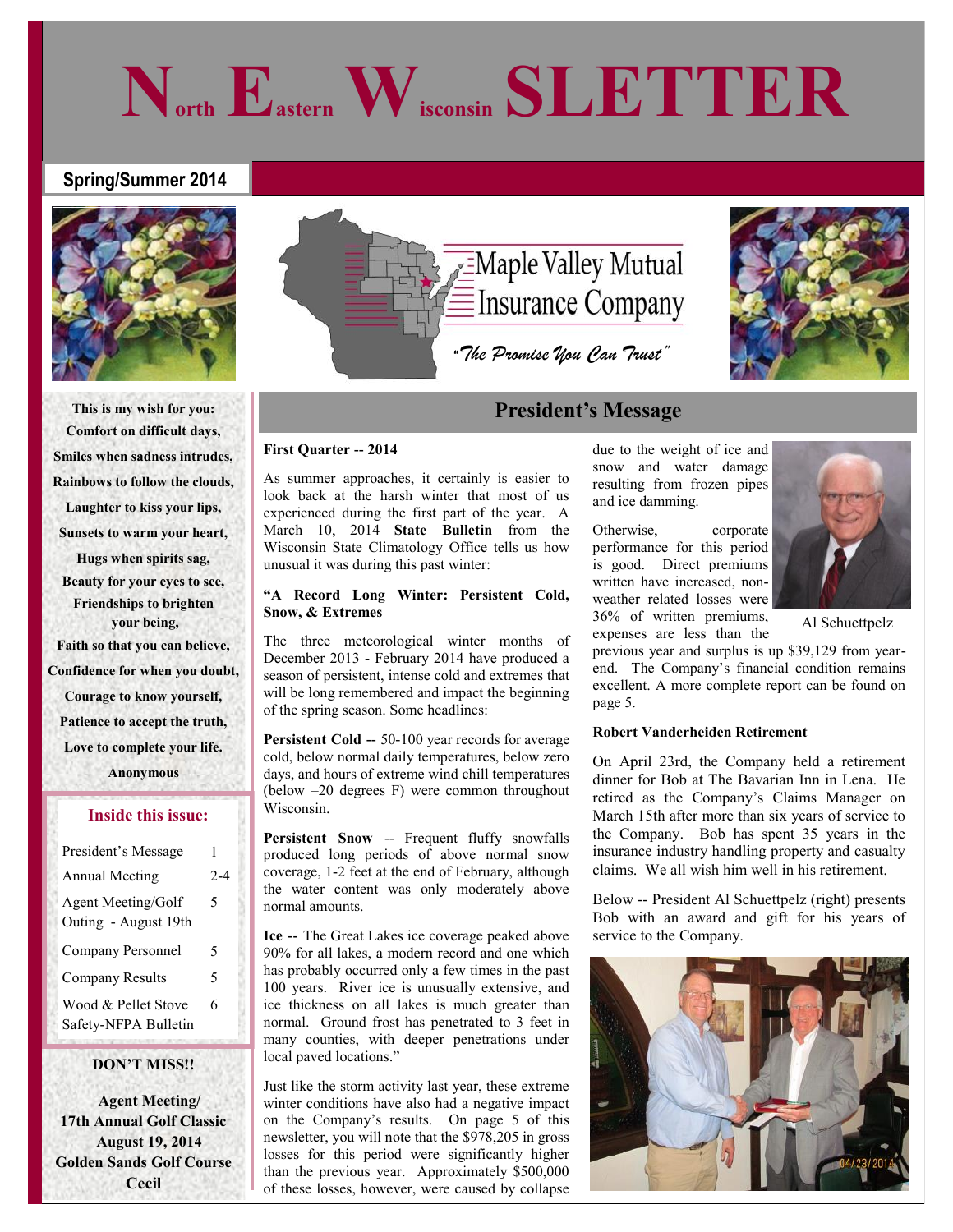## **Spring/Summer 2014**



**This is my wish for you: Comfort on difficult days, Smiles when sadness intrudes, Rainbows to follow the clouds, Laughter to kiss your lips, Sunsets to warm your heart, Hugs when spirits sag, Beauty for your eyes to see, Friendships to brighten your being, Faith so that you can believe, Confidence for when you doubt, Courage to know yourself, Patience to accept the truth, Love to complete your life. Anonymous**

### **Inside this issue:**

| President's Message                         | 1       |
|---------------------------------------------|---------|
| <b>Annual Meeting</b>                       | $2 - 4$ |
| Agent Meeting/Golf<br>Outing - August 19th  | 5       |
| Company Personnel                           | 5       |
| <b>Company Results</b>                      | 5       |
| Wood & Pellet Stove<br>Safety-NFPA Bulletin | 6       |

## **DON'T MISS!!**

 **Agent Meeting/ 17th Annual Golf Classic August 19, 2014 Golden Sands Golf Course Cecil**



**North Eastern Wisconsin SLETTER**

## **President's Message**

### **First Quarter -- 2014**

As summer approaches, it certainly is easier to look back at the harsh winter that most of us experienced during the first part of the year. A March 10, 2014 **State Bulletin** from the Wisconsin State Climatology Office tells us how unusual it was during this past winter:

## **"A Record Long Winter: Persistent Cold, Snow, & Extremes**

The three meteorological winter months of December 2013 - February 2014 have produced a season of persistent, intense cold and extremes that will be long remembered and impact the beginning of the spring season. Some headlines:

**Persistent Cold --** 50-100 year records for average cold, below normal daily temperatures, below zero days, and hours of extreme wind chill temperatures (below –20 degrees F) were common throughout Wisconsin.

**Persistent Snow** -- Frequent fluffy snowfalls produced long periods of above normal snow coverage, 1-2 feet at the end of February, although the water content was only moderately above normal amounts.

**Ice --** The Great Lakes ice coverage peaked above 90% for all lakes, a modern record and one which has probably occurred only a few times in the past 100 years. River ice is unusually extensive, and ice thickness on all lakes is much greater than normal. Ground frost has penetrated to 3 feet in many counties, with deeper penetrations under local paved locations."

Just like the storm activity last year, these extreme winter conditions have also had a negative impact on the Company's results. On page 5 of this newsletter, you will note that the \$978,205 in gross losses for this period were significantly higher than the previous year. Approximately \$500,000 of these losses, however, were caused by collapse

due to the weight of ice and snow and water damage resulting from frozen pipes and ice damming.

Otherwise, corporate performance for this period is good. Direct premiums written have increased, nonweather related losses were 36% of written premiums, expenses are less than the



Al Schuettpelz

previous year and surplus is up \$39,129 from yearend. The Company's financial condition remains excellent. A more complete report can be found on page 5.

## **Robert Vanderheiden Retirement**

On April 23rd, the Company held a retirement dinner for Bob at The Bavarian Inn in Lena. He retired as the Company's Claims Manager on March 15th after more than six years of service to the Company. Bob has spent 35 years in the insurance industry handling property and casualty claims. We all wish him well in his retirement.

Below -- President Al Schuettpelz (right) presents Bob with an award and gift for his years of service to the Company.

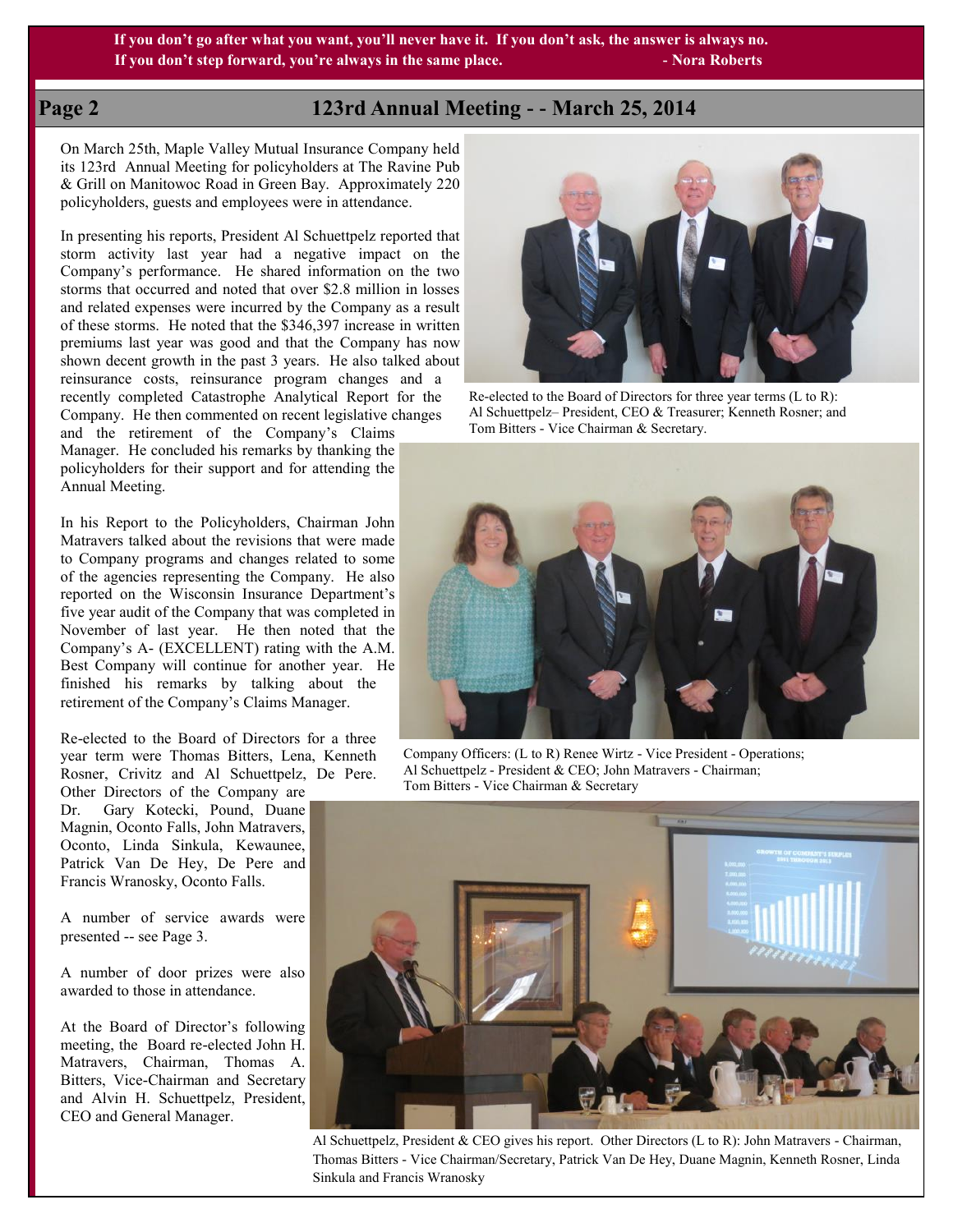**If you don't go after what you want, you'll never have it. If you don't ask, the answer is always no. If you don't step forward, you're always in the same place. All and Southern Step Sections**  $\cdot$  Nora Roberts

## **Page 2 123rd Annual Meeting - - March 25, 2014**

On March 25th, Maple Valley Mutual Insurance Company held its 123rd Annual Meeting for policyholders at The Ravine Pub & Grill on Manitowoc Road in Green Bay. Approximately 220 policyholders, guests and employees were in attendance.

In presenting his reports, President Al Schuettpelz reported that storm activity last year had a negative impact on the Company's performance. He shared information on the two storms that occurred and noted that over \$2.8 million in losses and related expenses were incurred by the Company as a result of these storms. He noted that the \$346,397 increase in written premiums last year was good and that the Company has now shown decent growth in the past 3 years. He also talked about reinsurance costs, reinsurance program changes and a recently completed Catastrophe Analytical Report for the Company. He then commented on recent legislative changes and the retirement of the Company's Claims

Manager. He concluded his remarks by thanking the policyholders for their support and for attending the Annual Meeting.

In his Report to the Policyholders, Chairman John Matravers talked about the revisions that were made to Company programs and changes related to some of the agencies representing the Company. He also reported on the Wisconsin Insurance Department's five year audit of the Company that was completed in November of last year. He then noted that the Company's A- (EXCELLENT) rating with the A.M. Best Company will continue for another year. He finished his remarks by talking about the retirement of the Company's Claims Manager.

Re-elected to the Board of Directors for a three year term were Thomas Bitters, Lena, Kenneth Rosner, Crivitz and Al Schuettpelz, De Pere.

Other Directors of the Company are Dr. Gary Kotecki, Pound, Duane Magnin, Oconto Falls, John Matravers, Oconto, Linda Sinkula, Kewaunee, Patrick Van De Hey, De Pere and Francis Wranosky, Oconto Falls.

A number of service awards were presented -- see Page 3.

A number of door prizes were also awarded to those in attendance.

At the Board of Director's following meeting, the Board re-elected John H. Matravers, Chairman, Thomas A. Bitters, Vice-Chairman and Secretary and Alvin H. Schuettpelz, President, CEO and General Manager.



Re-elected to the Board of Directors for three year terms (L to R): Al Schuettpelz– President, CEO & Treasurer; Kenneth Rosner; and Tom Bitters - Vice Chairman & Secretary.



Company Officers: (L to R) Renee Wirtz - Vice President - Operations; Al Schuettpelz - President & CEO; John Matravers - Chairman; Tom Bitters - Vice Chairman & Secretary



Al Schuettpelz, President & CEO gives his report. Other Directors (L to R): John Matravers - Chairman, Thomas Bitters - Vice Chairman/Secretary, Patrick Van De Hey, Duane Magnin, Kenneth Rosner, Linda Sinkula and Francis Wranosky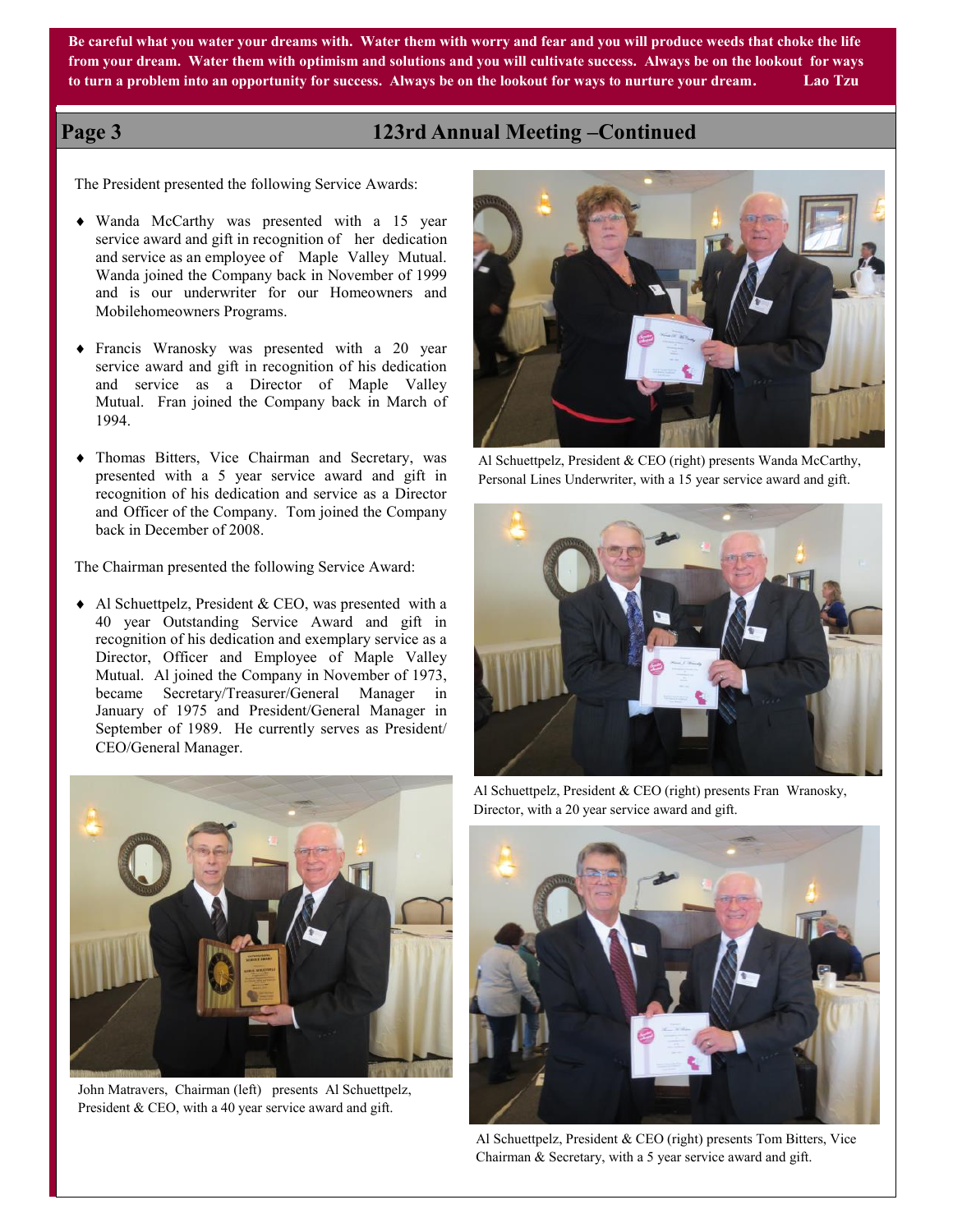**Be careful what you water your dreams with. Water them with worry and fear and you will produce weeds that choke the life from your dream. Water them with optimism and solutions and you will cultivate success. Always be on the lookout for ways to turn a problem into an opportunity for success. Always be on the lookout for ways to nurture your dream. Lao Tzu**

## **Page 3 123rd Annual Meeting –Continued**

The President presented the following Service Awards:

- Wanda McCarthy was presented with a 15 year service award and gift in recognition of her dedication and service as an employee of Maple Valley Mutual. Wanda joined the Company back in November of 1999 and is our underwriter for our Homeowners and Mobilehomeowners Programs.
- Francis Wranosky was presented with a 20 year service award and gift in recognition of his dedication and service as a Director of Maple Valley Mutual. Fran joined the Company back in March of 1994.
- Thomas Bitters, Vice Chairman and Secretary, was presented with a 5 year service award and gift in recognition of his dedication and service as a Director and Officer of the Company. Tom joined the Company back in December of 2008.

The Chairman presented the following Service Award:

 Al Schuettpelz, President & CEO, was presented with a 40 year Outstanding Service Award and gift in recognition of his dedication and exemplary service as a Director, Officer and Employee of Maple Valley Mutual. Al joined the Company in November of 1973, became Secretary/Treasurer/General Manager in January of 1975 and President/General Manager in September of 1989. He currently serves as President/ CEO/General Manager.



John Matravers, Chairman (left) presents Al Schuettpelz, President & CEO, with a 40 year service award and gift.



Al Schuettpelz, President & CEO (right) presents Wanda McCarthy, Personal Lines Underwriter, with a 15 year service award and gift.



Al Schuettpelz, President & CEO (right) presents Fran Wranosky, Director, with a 20 year service award and gift.



Al Schuettpelz, President & CEO (right) presents Tom Bitters, Vice Chairman & Secretary, with a 5 year service award and gift.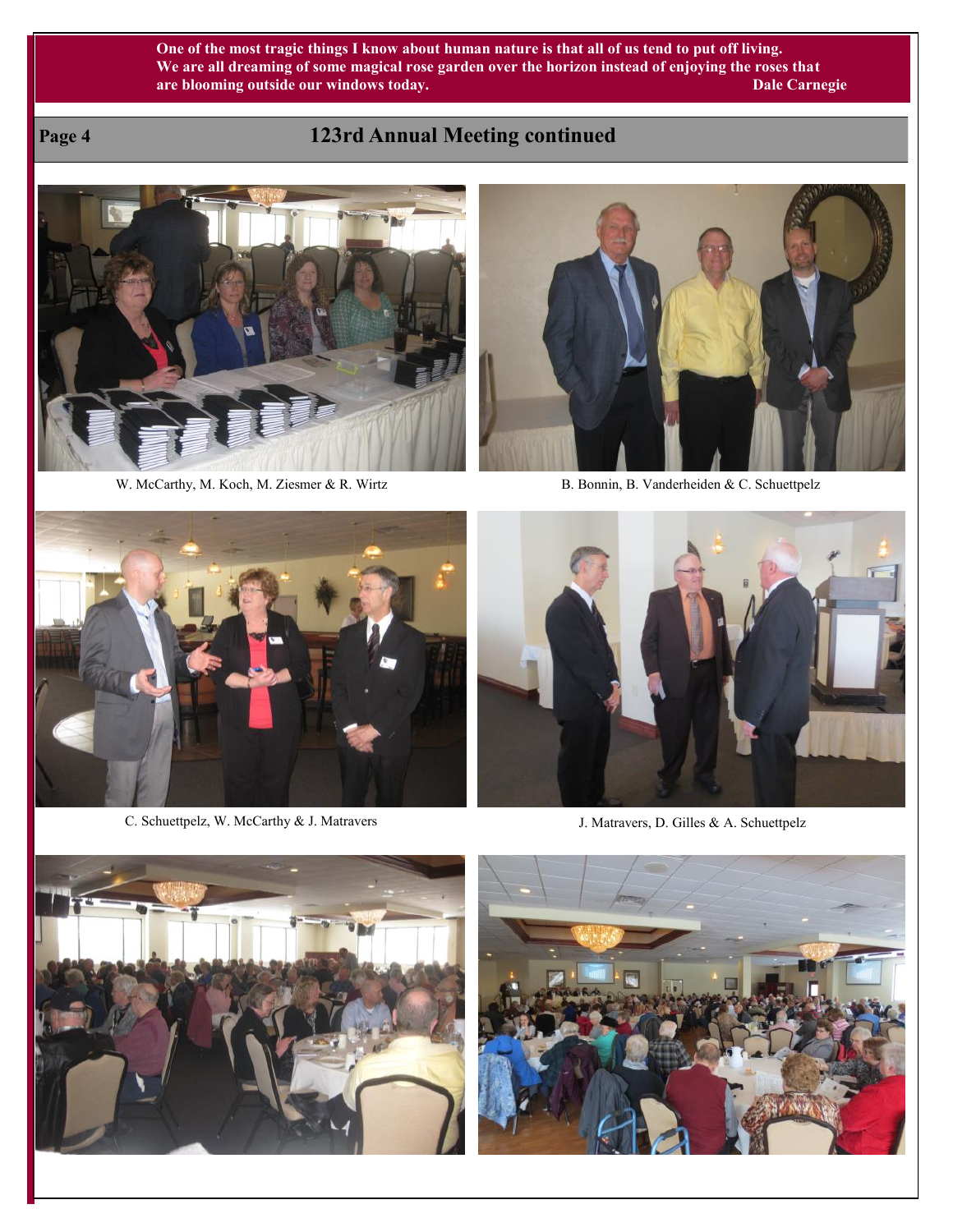## **One of the most tragic things I know about human nature is that all of us tend to put off living. We are all dreaming of some magical rose garden over the horizon instead of enjoying the roses that are blooming outside our windows today.** Dale Carnegie

## **Page 4 123rd Annual Meeting continued**



W. McCarthy, M. Koch, M. Ziesmer & R. Wirtz B. Bonnin, B. Vanderheiden & C. Schuettpelz





C. Schuettpelz, W. McCarthy & J. Matravers J. Matravers, D. Gilles & A. Schuettpelz





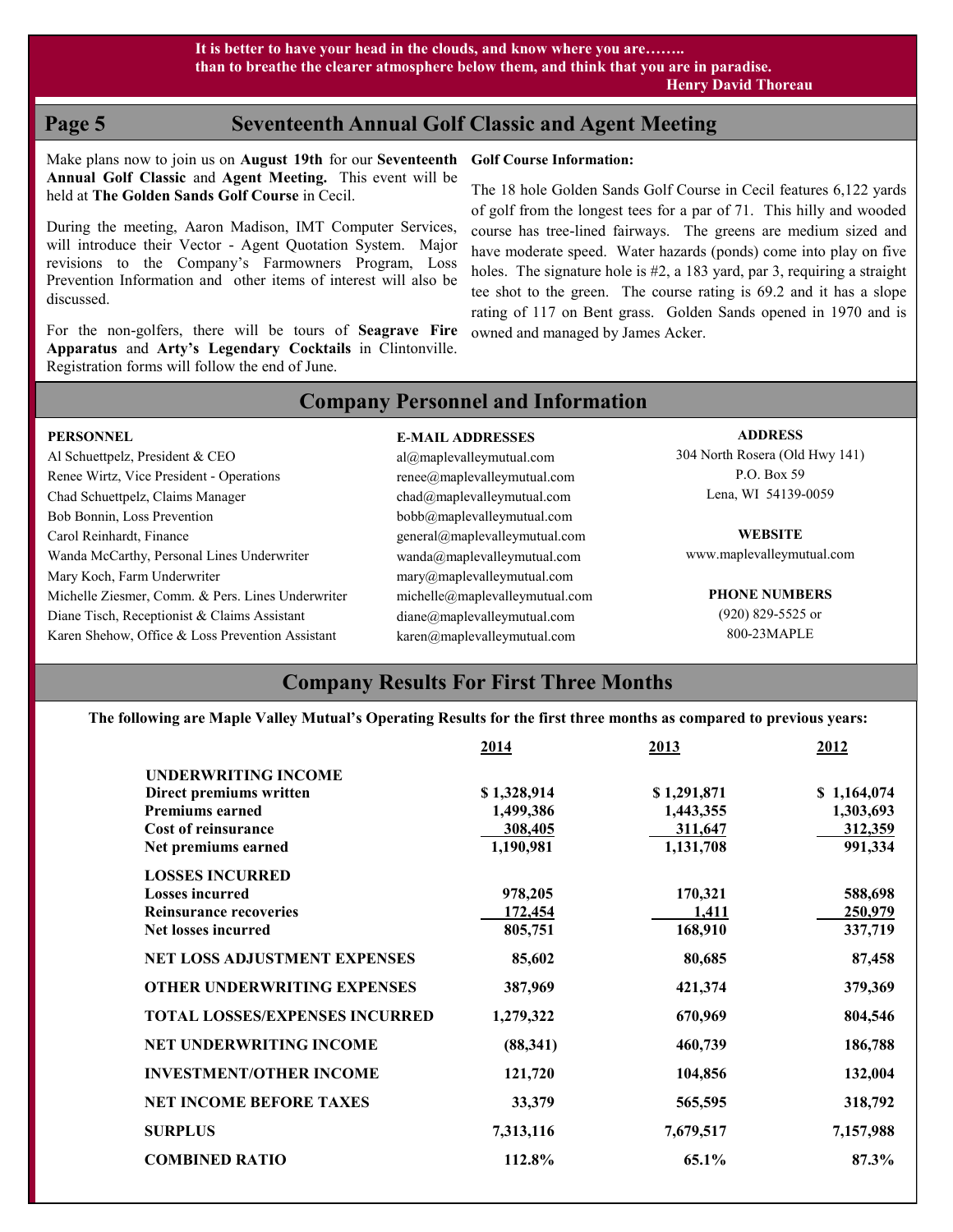**PERSONNEL**

## **Page 5 Seventeenth Annual Golf Classic and Agent Meeting**

Make plans now to join us on **August 19th** for our **Seventeenth Golf Course Information: Annual Golf Classic** and **Agent Meeting.** This event will be held at **The Golden Sands Golf Course** in Cecil.

During the meeting, Aaron Madison, IMT Computer Services, will introduce their Vector - Agent Quotation System. Major revisions to the Company's Farmowners Program, Loss Prevention Information and other items of interest will also be discussed.

For the non-golfers, there will be tours of **Seagrave Fire Apparatus** and **Arty's Legendary Cocktails** in Clintonville. Registration forms will follow the end of June.

The 18 hole Golden Sands Golf Course in Cecil features 6,122 yards of golf from the longest tees for a par of 71. This hilly and wooded course has tree-lined fairways. The greens are medium sized and have moderate speed. Water hazards (ponds) come into play on five holes. The signature hole is #2, a 183 yard, par 3, requiring a straight tee shot to the green. The course rating is 69.2 and it has a slope rating of 117 on Bent grass. Golden Sands opened in 1970 and is owned and managed by James Acker.

## **Company Personnel and Information**

**E-MAIL ADDRESSES**

| <b>PERSONNEL</b>                                  | <b>E-MAIL ADDRESSES</b>                           | <b>ADDRESS</b>                 |
|---------------------------------------------------|---------------------------------------------------|--------------------------------|
| Al Schuettpelz, President & CEO                   | $al(\partial)$ maplevalleymutual.com              | 304 North Rosera (Old Hwy 141) |
| Renee Wirtz, Vice President - Operations          | renee@maplevalleymutual.com                       | P.O. Box 59                    |
| Chad Schuettpelz, Claims Manager                  | chad@maplevalleymutual.com                        | Lena, WI 54139-0059            |
| Bob Bonnin, Loss Prevention                       | bobb@maplevalleymutual.com                        |                                |
| Carol Reinhardt, Finance                          | general@maplevalleymutual.com                     | <b>WEBSITE</b>                 |
| Wanda McCarthy, Personal Lines Underwriter        | wanda@maplevalleymutual.com                       | www.maplevalleymutual.com      |
| Mary Koch, Farm Underwriter                       | $\text{mary@maplevalleymutual.com}$               |                                |
| Michelle Ziesmer, Comm. & Pers. Lines Underwriter | michelle@maplevalleymutual.com                    | <b>PHONE NUMBERS</b>           |
| Diane Tisch, Receptionist & Claims Assistant      | diane@maplevalleymutual.com                       | $(920)$ 829-5525 or            |
| Karen Shehow, Office & Loss Prevention Assistant  | $\text{karen}(\widehat{a}$ maplevalley mutual.com | 800-23MAPLE                    |

## **Company Results For First Three Months**

**The following are Maple Valley Mutual's Operating Results for the first three months as compared to previous years:**

|                                       | 2014        | 2013        | 2012        |
|---------------------------------------|-------------|-------------|-------------|
| <b>UNDERWRITING INCOME</b>            |             |             |             |
| Direct premiums written               | \$1,328,914 | \$1,291,871 | \$1,164,074 |
| <b>Premiums earned</b>                | 1,499,386   | 1,443,355   | 1,303,693   |
| Cost of reinsurance                   | 308,405     | 311,647     | 312,359     |
| Net premiums earned                   | 1,190,981   | 1,131,708   | 991,334     |
| <b>LOSSES INCURRED</b>                |             |             |             |
| <b>Losses incurred</b>                | 978,205     | 170,321     | 588,698     |
| <b>Reinsurance recoveries</b>         | 172,454     | 1,411       | 250,979     |
| Net losses incurred                   | 805,751     | 168,910     | 337,719     |
| NET LOSS ADJUSTMENT EXPENSES          | 85,602      | 80,685      | 87,458      |
| <b>OTHER UNDERWRITING EXPENSES</b>    | 387,969     | 421,374     | 379,369     |
| <b>TOTAL LOSSES/EXPENSES INCURRED</b> | 1,279,322   | 670,969     | 804,546     |
| <b>NET UNDERWRITING INCOME</b>        | (88,341)    | 460,739     | 186,788     |
| <b>INVESTMENT/OTHER INCOME</b>        | 121,720     | 104,856     | 132,004     |
| <b>NET INCOME BEFORE TAXES</b>        | 33,379      | 565,595     | 318,792     |
| <b>SURPLUS</b>                        | 7,313,116   | 7,679,517   | 7,157,988   |
| <b>COMBINED RATIO</b>                 | 112.8%      | 65.1%       | 87.3%       |
|                                       |             |             |             |